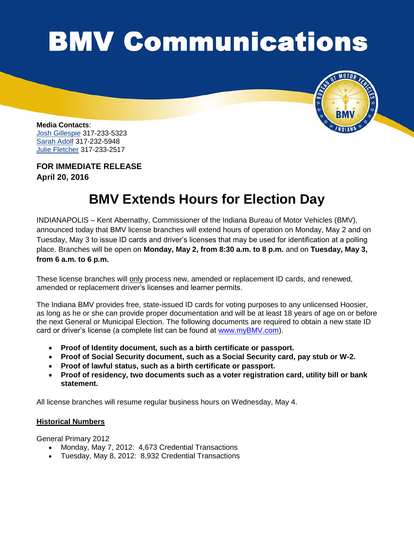## **BMV Communications**



**Media Contacts**: [Josh Gillespie](mailto:jogillespie@bmv.in.gov) 317-233-5323 [Sarah Adolf](mailto:saadolf@bmv.in.gov) 317-232-5948 [Julie Fletcher](mailto:jufletcher@bmv.in.gov) 317-233-2517

**FOR IMMEDIATE RELEASE April 20, 2016**

## **BMV Extends Hours for Election Day**

INDIANAPOLIS – Kent Abernathy, Commissioner of the Indiana Bureau of Motor Vehicles (BMV), announced today that BMV license branches will extend hours of operation on Monday, May 2 and on Tuesday, May 3 to issue ID cards and driver's licenses that may be used for identification at a polling place. Branches will be open on **Monday, May 2, from 8:30 a.m. to 8 p.m.** and on **Tuesday, May 3, from 6 a.m. to 6 p.m.** 

These license branches will only process new, amended or replacement ID cards, and renewed, amended or replacement driver's licenses and learner permits.

The Indiana BMV provides free, state-issued ID cards for voting purposes to any unlicensed Hoosier, as long as he or she can provide proper documentation and will be at least 18 years of age on or before the next General or Municipal Election. The following documents are required to obtain a new state ID card or driver's license (a complete list can be found at [www.myBMV.com\)](http://www.mybmv.com/).

- **Proof of Identity document, such as a birth certificate or passport.**
- **Proof of Social Security document, such as a Social Security card, pay stub or W-2.**
- **Proof of lawful status, such as a birth certificate or passport.**
- **Proof of residency, two documents such as a voter registration card, utility bill or bank statement.**

All license branches will resume regular business hours on Wednesday, May 4.

## **Historical Numbers**

General Primary 2012

- Monday, May 7, 2012: 4,673 Credential Transactions
- Tuesday, May 8, 2012: 8,932 Credential Transactions